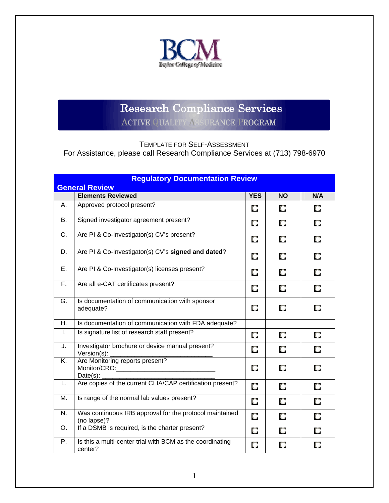

## Research Compliance Services

**ACTIVE QUALITY ASSURANCE PROGRAM** 

TEMPLATE FOR SELF-ASSESSMENT

For Assistance, please call Research Compliance Services at (713) 798-6970

| <b>Regulatory Documentation Review</b> |                                                                        |            |           |     |  |
|----------------------------------------|------------------------------------------------------------------------|------------|-----------|-----|--|
| <b>General Review</b>                  |                                                                        |            |           |     |  |
|                                        | <b>Elements Reviewed</b>                                               | <b>YES</b> | <b>NO</b> | N/A |  |
| А.                                     | Approved protocol present?                                             | O          | O         | О   |  |
| В.                                     | Signed investigator agreement present?                                 | O          | О         | О   |  |
| C.                                     | Are PI & Co-Investigator(s) CV's present?                              | О          | О         | O   |  |
| D.                                     | Are PI & Co-Investigator(s) CV's signed and dated?                     | O          | О         | O   |  |
| E.                                     | Are PI & Co-Investigator(s) licenses present?                          | О          | O         | O   |  |
| F.                                     | Are all e-CAT certificates present?                                    | О          | O         | О   |  |
| G.                                     | Is documentation of communication with sponsor<br>adequate?            | О          | О         | О   |  |
| Η.                                     | Is documentation of communication with FDA adequate?                   |            |           |     |  |
| Ι.                                     | Is signature list of research staff present?                           | O          | О         | О   |  |
| J.                                     | Investigator brochure or device manual present?<br>Version(s):         | О          | О         | О   |  |
| Κ.                                     | Are Monitoring reports present?<br>$Date(s)$ :                         | О          | О         | О   |  |
| L.                                     | Are copies of the current CLIA/CAP certification present?              | O          | O         | О   |  |
| M.                                     | Is range of the normal lab values present?                             | О          | O         | О   |  |
| N.                                     | Was continuous IRB approval for the protocol maintained<br>(no lapse)? | О          | O         | О   |  |
| O.                                     | If a DSMB is required, is the charter present?                         | О          | O         | О   |  |
| P.                                     | Is this a multi-center trial with BCM as the coordinating<br>center?   | О          | О         | О   |  |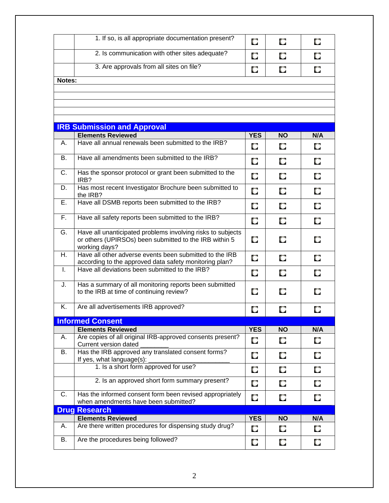|                      | 1. If so, is all appropriate documentation present?                                                                                    | O          | O         | O   |
|----------------------|----------------------------------------------------------------------------------------------------------------------------------------|------------|-----------|-----|
|                      | 2. Is communication with other sites adequate?                                                                                         | O          | O         | О   |
|                      | 3. Are approvals from all sites on file?                                                                                               | O          | O         | О   |
| Notes:               |                                                                                                                                        |            |           |     |
|                      |                                                                                                                                        |            |           |     |
|                      |                                                                                                                                        |            |           |     |
|                      |                                                                                                                                        |            |           |     |
|                      |                                                                                                                                        |            |           |     |
|                      | <b>IRB Submission and Approval</b>                                                                                                     |            |           |     |
|                      | <b>Elements Reviewed</b>                                                                                                               | <b>YES</b> | <b>NO</b> | N/A |
| А.                   | Have all annual renewals been submitted to the IRB?                                                                                    | O          | O         | O   |
| В.                   | Have all amendments been submitted to the IRB?                                                                                         | O          | O         | О   |
| C.                   | Has the sponsor protocol or grant been submitted to the<br>IRB?                                                                        | O          | O         | O   |
| D.                   | Has most recent Investigator Brochure been submitted to<br>the IRB?                                                                    | O          | O         | О   |
| Е.                   | Have all DSMB reports been submitted to the IRB?                                                                                       | O          | О         | О   |
| F.                   | Have all safety reports been submitted to the IRB?                                                                                     | O          | О         | О   |
| G.                   | Have all unanticipated problems involving risks to subjects<br>or others (UPIRSOs) been submitted to the IRB within 5<br>working days? | O          | O         | O   |
| Η.                   | Have all other adverse events been submitted to the IRB<br>according to the approved data safety monitoring plan?                      | O          | O         | O   |
| T.                   | Have all deviations been submitted to the IRB?                                                                                         | O          | O         | O   |
| J.                   | Has a summary of all monitoring reports been submitted<br>to the IRB at time of continuing review?                                     | O          | O         | О   |
| Κ.                   | Are all advertisements IRB approved?                                                                                                   | O          | O         | О   |
|                      | <b>Informed Consent</b>                                                                                                                |            |           |     |
|                      | <b>Elements Reviewed</b>                                                                                                               | <b>YES</b> | <b>NO</b> | N/A |
| Α.                   | Are copies of all original IRB-approved consents present?<br>Current version dated                                                     | O          | О         | Q   |
| B.                   | Has the IRB approved any translated consent forms?<br>If yes, what language(s):                                                        | О          | O         | О   |
|                      | 1. Is a short form approved for use?                                                                                                   | O          | O         | О   |
|                      | 2. Is an approved short form summary present?                                                                                          | O          | O         | О   |
| C.                   | Has the informed consent form been revised appropriately<br>when amendments have been submitted?                                       | О          | O         | O   |
| <b>Drug Research</b> |                                                                                                                                        |            |           |     |
|                      | <b>Elements Reviewed</b>                                                                                                               | <b>YES</b> | <b>NO</b> | N/A |
| Α.                   | Are there written procedures for dispensing study drug?                                                                                | O          | O         | O   |
| В.                   | Are the procedures being followed?                                                                                                     | C.         | О         | O   |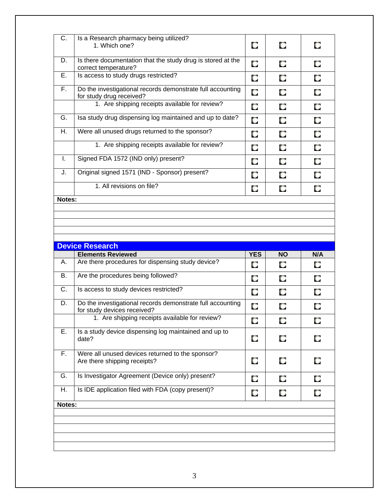| C.     | Is a Research pharmacy being utilized?<br>1. Which one?                                | O | О | О |
|--------|----------------------------------------------------------------------------------------|---|---|---|
| D.     | Is there documentation that the study drug is stored at the<br>correct temperature?    | О | O | О |
| Ε.     | Is access to study drugs restricted?                                                   | О | О | О |
| F.,    | Do the investigational records demonstrate full accounting<br>for study drug received? | О | О | О |
|        | 1. Are shipping receipts available for review?                                         | O | O | O |
| G.     | Isa study drug dispensing log maintained and up to date?                               | О | О | О |
| Η.     | Were all unused drugs returned to the sponsor?                                         | O | O | О |
|        | 1. Are shipping receipts available for review?                                         | О | О | О |
| Τ.     | Signed FDA 1572 (IND only) present?                                                    | O | О | О |
| J.     | Original signed 1571 (IND - Sponsor) present?                                          | О | O | О |
|        | 1. All revisions on file?                                                              | O | O | О |
| Notes: |                                                                                        |   |   |   |
|        |                                                                                        |   |   |   |
|        |                                                                                        |   |   |   |
|        |                                                                                        |   |   |   |

| <b>Device Research</b> |                                                                                           |            |           |     |  |
|------------------------|-------------------------------------------------------------------------------------------|------------|-----------|-----|--|
|                        | <b>Elements Reviewed</b>                                                                  | <b>YES</b> | <b>NO</b> | N/A |  |
| Α.                     | Are there procedures for dispensing study device?                                         | O          | О         | O   |  |
| <b>B.</b>              | Are the procedures being followed?                                                        | O          | О         | О   |  |
| C.                     | Is access to study devices restricted?                                                    | O          | O         | O   |  |
| D.                     | Do the investigational records demonstrate full accounting<br>for study devices received? | О          | О         | О   |  |
|                        | 1. Are shipping receipts available for review?                                            | О          | O         | О   |  |
| Е.                     | Is a study device dispensing log maintained and up to<br>date?                            | O          | О         | О   |  |
| F.                     | Were all unused devices returned to the sponsor?<br>Are there shipping receipts?          | О          | O         | О   |  |
| G.                     | Is Investigator Agreement (Device only) present?                                          | О          | О         | O   |  |
| Η.                     | Is IDE application filed with FDA (copy present)?                                         | О          | О         | O   |  |
| Notes:                 |                                                                                           |            |           |     |  |
|                        |                                                                                           |            |           |     |  |
|                        |                                                                                           |            |           |     |  |
|                        |                                                                                           |            |           |     |  |
|                        |                                                                                           |            |           |     |  |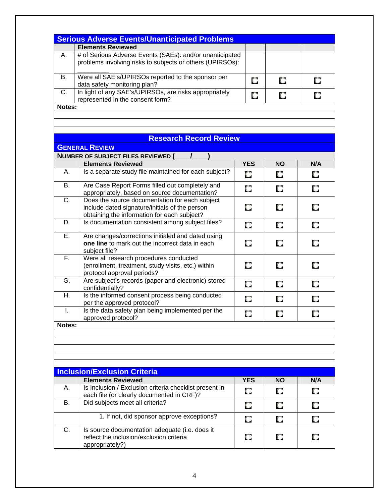|                           | <b>Serious Adverse Events/Unanticipated Problems</b>                                                                                            |            |           |     |
|---------------------------|-------------------------------------------------------------------------------------------------------------------------------------------------|------------|-----------|-----|
|                           | <b>Elements Reviewed</b>                                                                                                                        |            |           |     |
| Α.                        | # of Serious Adverse Events (SAEs): and/or unanticipated                                                                                        |            |           |     |
|                           | problems involving risks to subjects or others (UPIRSOs):                                                                                       |            |           |     |
| В.                        | Were all SAE's/UPIRSOs reported to the sponsor per<br>data safety monitoring plan?                                                              | O          | O         | O   |
| C.                        | In light of any SAE's/UPIRSOs, are risks appropriately                                                                                          |            |           |     |
|                           | represented in the consent form?                                                                                                                | О          | О         | O   |
| Notes:                    |                                                                                                                                                 |            |           |     |
|                           |                                                                                                                                                 |            |           |     |
|                           | <b>Research Record Review</b>                                                                                                                   |            |           |     |
|                           | <b>GENERAL REVIEW</b>                                                                                                                           |            |           |     |
|                           | <b>NUMBER OF SUBJECT FILES REVIEWED (</b>                                                                                                       |            |           |     |
|                           | <b>Elements Reviewed</b>                                                                                                                        | <b>YES</b> | <b>NO</b> | N/A |
| Α.                        | Is a separate study file maintained for each subject?                                                                                           |            |           |     |
| <b>B.</b>                 |                                                                                                                                                 | O          | O         | О   |
|                           | Are Case Report Forms filled out completely and<br>appropriately, based on source documentation?                                                | O          | O         | O   |
| $\overline{C}$ .          | Does the source documentation for each subject<br>include dated signature/initials of the person<br>obtaining the information for each subject? | O          | O         | O   |
| D.                        | Is documentation consistent among subject files?                                                                                                | O          | O         | О   |
| Ε.                        | Are changes/corrections initialed and dated using<br>one line to mark out the incorrect data in each<br>subject file?                           | О          | О         | О   |
| F.                        | Were all research procedures conducted<br>(enrollment, treatment, study visits, etc.) within<br>protocol approval periods?                      | O          | O         | О   |
| G.                        | Are subject's records (paper and electronic) stored<br>confidentially?                                                                          | O          | O         | O   |
| $\overline{\mathsf{H}}$ . | Is the informed consent process being conducted<br>per the approved protocol?                                                                   | O          | О         | О   |
| I.                        | Is the data safety plan being implemented per the<br>approved protocol?                                                                         | O          | О         | О   |
| Notes:                    |                                                                                                                                                 |            |           |     |
|                           |                                                                                                                                                 |            |           |     |
|                           |                                                                                                                                                 |            |           |     |
|                           |                                                                                                                                                 |            |           |     |
|                           |                                                                                                                                                 |            |           |     |
|                           | <b>Inclusion/Exclusion Criteria</b>                                                                                                             |            |           |     |
|                           | <b>Elements Reviewed</b>                                                                                                                        | <b>YES</b> | <b>NO</b> | N/A |
| Α.                        | Is Inclusion / Exclusion criteria checklist present in<br>each file (or clearly documented in CRF)?                                             | O          | О         | О   |
| <b>B.</b>                 | Did subjects meet all criteria?                                                                                                                 | О          | О         | O   |
|                           | 1. If not, did sponsor approve exceptions?                                                                                                      | O          | О         | O   |
| C.                        | Is source documentation adequate (i.e. does it                                                                                                  |            |           |     |
|                           | reflect the inclusion/exclusion criteria<br>appropriately?)                                                                                     | O          | O         | О   |